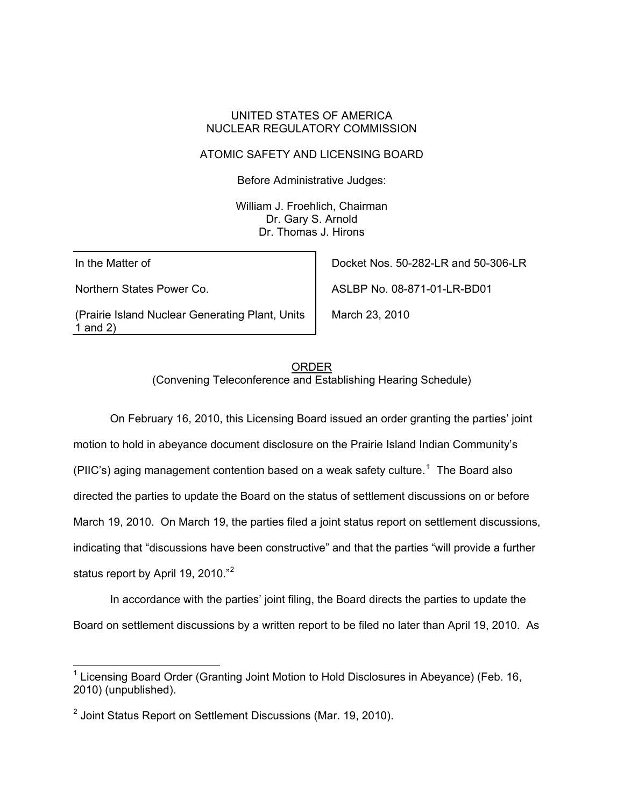#### UNITED STATES OF AMERICA NUCLEAR REGULATORY COMMISSION

### ATOMIC SAFETY AND LICENSING BOARD

Before Administrative Judges:

William J. Froehlich, Chairman Dr. Gary S. Arnold Dr. Thomas J. Hirons

In the Matter of

l

Northern States Power Co.

(Prairie Island Nuclear Generating Plant, Units 1 and 2)

Docket Nos. 50-282-LR and 50-306-LR

ASLBP No. 08-871-01-LR-BD01

March 23, 2010

# ORDER (Convening Teleconference and Establishing Hearing Schedule)

 On February 16, 2010, this Licensing Board issued an order granting the parties' joint motion to hold in abeyance document disclosure on the Prairie Island Indian Community's (PIIC's) aging management contention based on a weak safety culture.<sup>[1](#page-0-0)</sup> The Board also directed the parties to update the Board on the status of settlement discussions on or before March 19, 2010. On March 19, the parties filed a joint status report on settlement discussions, indicating that "discussions have been constructive" and that the parties "will provide a further status report by April 19, [2](#page-0-1)010."<sup>2</sup>

 In accordance with the parties' joint filing, the Board directs the parties to update the Board on settlement discussions by a written report to be filed no later than April 19, 2010. As

<span id="page-0-0"></span><sup>&</sup>lt;sup>1</sup> Licensing Board Order (Granting Joint Motion to Hold Disclosures in Abeyance) (Feb. 16, 2010) (unpublished).

<span id="page-0-1"></span><sup>&</sup>lt;sup>2</sup> Joint Status Report on Settlement Discussions (Mar. 19, 2010).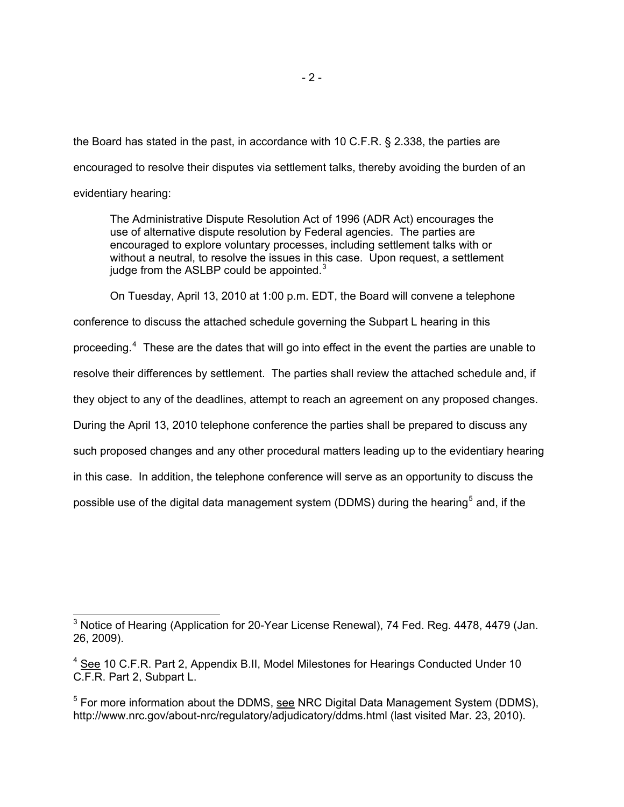the Board has stated in the past, in accordance with 10 C.F.R. § 2.338, the parties are encouraged to resolve their disputes via settlement talks, thereby avoiding the burden of an evidentiary hearing:

The Administrative Dispute Resolution Act of 1996 (ADR Act) encourages the use of alternative dispute resolution by Federal agencies. The parties are encouraged to explore voluntary processes, including settlement talks with or without a neutral, to resolve the issues in this case. Upon request, a settlement iudge from the ASLBP could be appointed. $3$ 

On Tuesday, April 13, 2010 at 1:00 p.m. EDT, the Board will convene a telephone conference to discuss the attached schedule governing the Subpart L hearing in this proceeding.<sup>[4](#page-1-1)</sup> These are the dates that will go into effect in the event the parties are unable to resolve their differences by settlement. The parties shall review the attached schedule and, if they object to any of the deadlines, attempt to reach an agreement on any proposed changes. During the April 13, 2010 telephone conference the parties shall be prepared to discuss any such proposed changes and any other procedural matters leading up to the evidentiary hearing in this case. In addition, the telephone conference will serve as an opportunity to discuss the possible use of the digital data management system (DDMS) during the hearing<sup>[5](#page-1-2)</sup> and, if the

<span id="page-1-0"></span>l  $3$  Notice of Hearing (Application for 20-Year License Renewal), 74 Fed. Reg. 4478, 4479 (Jan. 26, 2009).

<span id="page-1-1"></span><sup>&</sup>lt;sup>4</sup> See 10 C.F.R. Part 2, Appendix B.II, Model Milestones for Hearings Conducted Under 10 C.F.R. Part 2, Subpart L.

<span id="page-1-2"></span><sup>&</sup>lt;sup>5</sup> For more information about the DDMS, see NRC Digital Data Management System (DDMS), http://www.nrc.gov/about-nrc/regulatory/adjudicatory/ddms.html (last visited Mar. 23, 2010).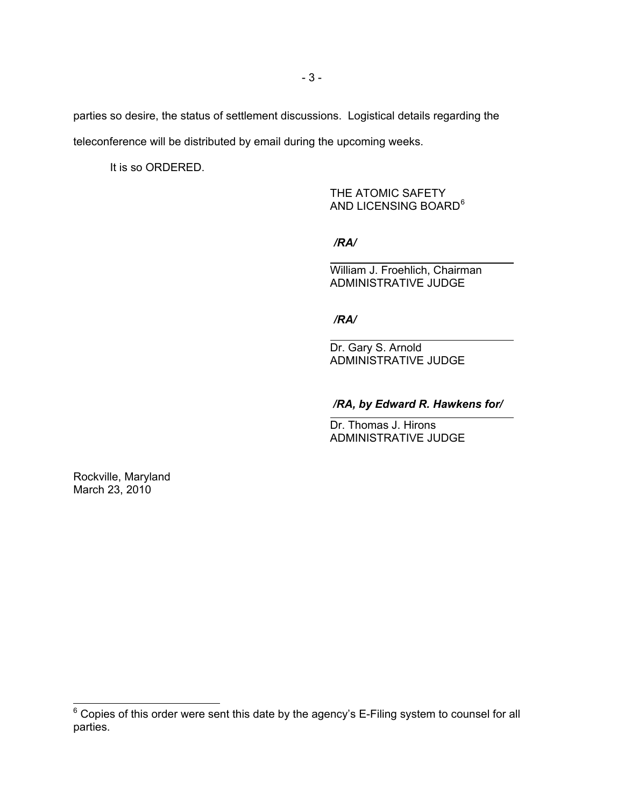parties so desire, the status of settlement discussions. Logistical details regarding the teleconference will be distributed by email during the upcoming weeks.

It is so ORDERED.

THE ATOMIC SAFETY AND LICENSING BOARD<sup>[6](#page-2-0)</sup>

*/RA/*

William J. Froehlich, Chairman ADMINISTRATIVE JUDGE

*/RA/*

Dr. Gary S. Arnold ADMINISTRATIVE JUDGE

## */RA, by Edward R. Hawkens for/*

Dr. Thomas J. Hirons ADMINISTRATIVE JUDGE

Rockville, Maryland March 23, 2010

<span id="page-2-0"></span><sup>————————————————————&</sup>lt;br><sup>6</sup> Copies of this order were sent this date by the agency's E-Filing system to counsel for all parties.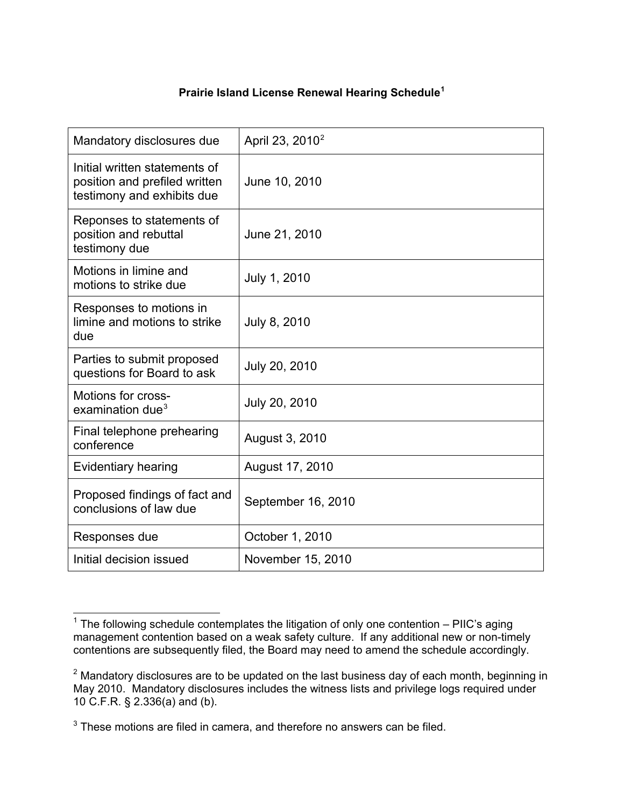# **Prairie Island License Renewal Hearing Schedule[1](#page-3-0)**

| Mandatory disclosures due                                                                    | April 23, 2010 <sup>2</sup> |
|----------------------------------------------------------------------------------------------|-----------------------------|
| Initial written statements of<br>position and prefiled written<br>testimony and exhibits due | June 10, 2010               |
| Reponses to statements of<br>position and rebuttal<br>testimony due                          | June 21, 2010               |
| Motions in limine and<br>motions to strike due                                               | July 1, 2010                |
| Responses to motions in<br>limine and motions to strike<br>due                               | July 8, 2010                |
| Parties to submit proposed<br>questions for Board to ask                                     | July 20, 2010               |
| Motions for cross-<br>examination due <sup>3</sup>                                           | July 20, 2010               |
| Final telephone prehearing<br>conference                                                     | August 3, 2010              |
| <b>Evidentiary hearing</b>                                                                   | August 17, 2010             |
| Proposed findings of fact and<br>conclusions of law due                                      | September 16, 2010          |
| Responses due                                                                                | October 1, 2010             |
| Initial decision issued                                                                      | November 15, 2010           |

<span id="page-3-0"></span> 1 The following schedule contemplates the litigation of only one contention – PIIC's aging management contention based on a weak safety culture. If any additional new or non-timely contentions are subsequently filed, the Board may need to amend the schedule accordingly.

<span id="page-3-1"></span> $2$  Mandatory disclosures are to be updated on the last business day of each month, beginning in May 2010. Mandatory disclosures includes the witness lists and privilege logs required under 10 C.F.R. § 2.336(a) and (b).

<span id="page-3-2"></span> $3$  These motions are filed in camera, and therefore no answers can be filed.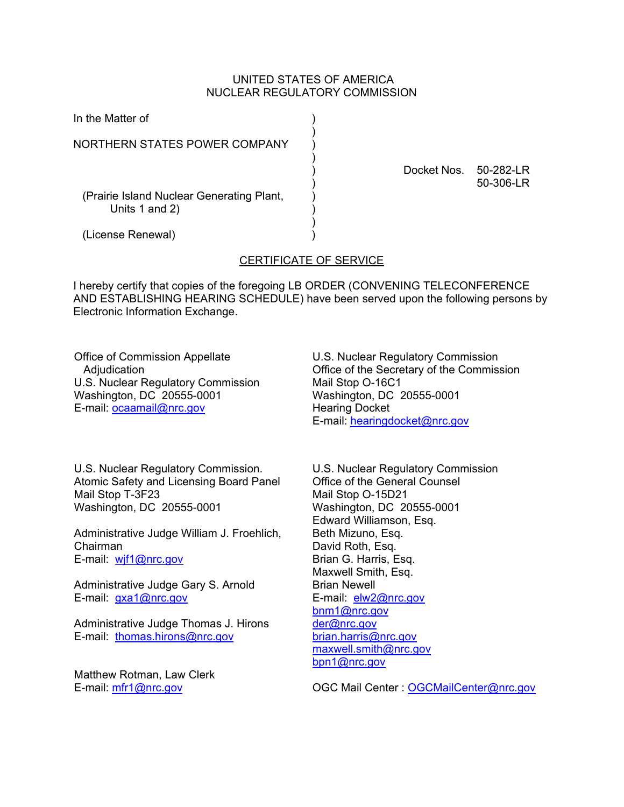#### UNITED STATES OF AMERICA NUCLEAR REGULATORY COMMISSION

| In the Matter of                                            |             |                        |
|-------------------------------------------------------------|-------------|------------------------|
| NORTHERN STATES POWER COMPANY                               |             |                        |
| (Prairie Island Nuclear Generating Plant,<br>Units 1 and 2) | Docket Nos. | 50-282-LR<br>50-306-LR |
| (License Renewal)                                           |             |                        |

## CERTIFICATE OF SERVICE

I hereby certify that copies of the foregoing LB ORDER (CONVENING TELECONFERENCE AND ESTABLISHING HEARING SCHEDULE) have been served upon the following persons by Electronic Information Exchange.

Office of Commission Appellate Adjudication U.S. Nuclear Regulatory Commission Washington, DC 20555-0001 E-mail: ocaamail@nrc.gov

U.S. Nuclear Regulatory Commission Office of the Secretary of the Commission Mail Stop O-16C1 Washington, DC 20555-0001 Hearing Docket E-mail: hearingdocket@nrc.gov

U.S. Nuclear Regulatory Commission. Atomic Safety and Licensing Board Panel Mail Stop T-3F23 Washington, DC 20555-0001

Administrative Judge William J. Froehlich, Chairman E-mail: wjf1@nrc.gov

Administrative Judge Gary S. Arnold E-mail: gxa1@nrc.gov

Administrative Judge Thomas J. Hirons E-mail: thomas.hirons@nrc.gov

Matthew Rotman, Law Clerk E-mail: mfr1@nrc.gov

U.S. Nuclear Regulatory Commission Office of the General Counsel Mail Stop O-15D21 Washington, DC 20555-0001 Edward Williamson, Esq. Beth Mizuno, Esq. David Roth, Esq. Brian G. Harris, Esq. Maxwell Smith, Esq. Brian Newell E-mail: elw2@nrc.gov bnm1@nrc.gov der@nrc.gov brian.harris@nrc.gov maxwell.smith@nrc.gov bpn1@nrc.gov

OGC Mail Center : OGCMailCenter@nrc.gov